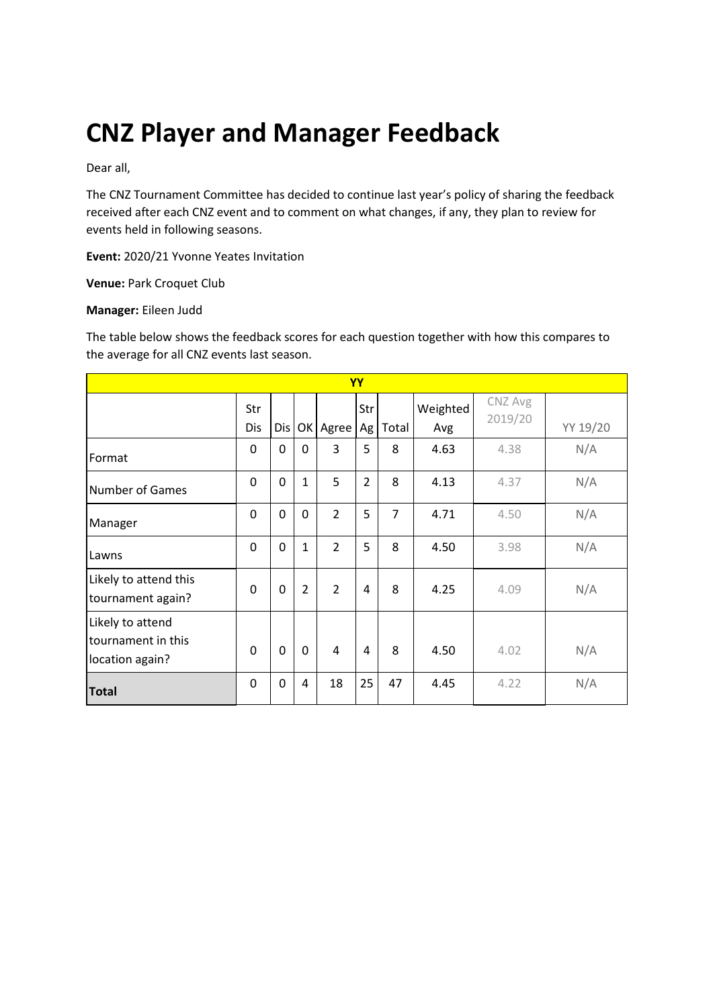# **CNZ Player and Manager Feedback**

Dear all,

The CNZ Tournament Committee has decided to continue last year's policy of sharing the feedback received after each CNZ event and to comment on what changes, if any, they plan to review for events held in following seasons.

**Event:** 2020/21 Yvonne Yeates Invitation

**Venue:** Park Croquet Club

#### **Manager:** Eileen Judd

The table below shows the feedback scores for each question together with how this compares to the average for all CNZ events last season.

| <b>YY</b>                                                 |            |     |                |                |                |                |                 |                    |          |
|-----------------------------------------------------------|------------|-----|----------------|----------------|----------------|----------------|-----------------|--------------------|----------|
|                                                           | Str<br>Dis | Dis |                | OK Agree       | Str<br>Ag      | Total          | Weighted<br>Avg | CNZ Avg<br>2019/20 | YY 19/20 |
| Format                                                    | 0          | 0   | 0              | 3              | 5              | 8              | 4.63            | 4.38               | N/A      |
| <b>Number of Games</b>                                    | $\Omega$   | 0   | $\mathbf{1}$   | 5              | $\overline{2}$ | 8              | 4.13            | 4.37               | N/A      |
| Manager                                                   | 0          | 0   | $\mathbf 0$    | $\overline{2}$ | 5              | $\overline{7}$ | 4.71            | 4.50               | N/A      |
| Lawns                                                     | 0          | 0   | $\mathbf{1}$   | $\overline{2}$ | 5              | 8              | 4.50            | 3.98               | N/A      |
| Likely to attend this<br>tournament again?                | $\Omega$   | 0   | $\overline{2}$ | $\overline{2}$ | 4              | 8              | 4.25            | 4.09               | N/A      |
| Likely to attend<br>tournament in this<br>location again? | $\Omega$   | 0   | $\mathbf 0$    | 4              | 4              | 8              | 4.50            | 4.02               | N/A      |
| <b>Total</b>                                              | $\Omega$   | 0   | 4              | 18             | 25             | 47             | 4.45            | 4.22               | N/A      |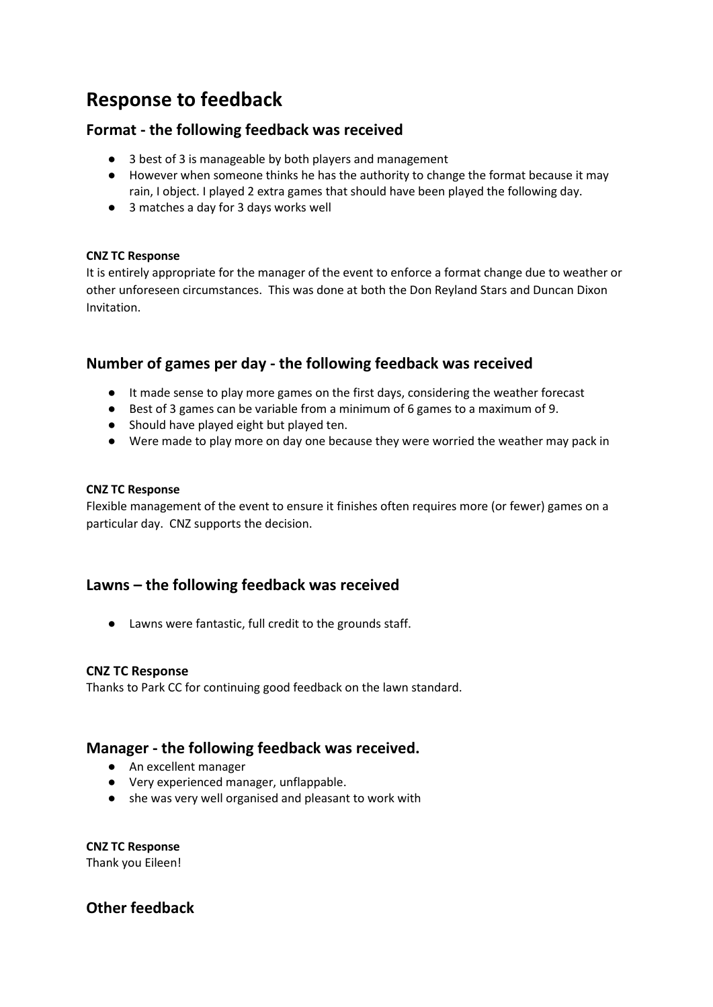# **Response to feedback**

## **Format - the following feedback was received**

- 3 best of 3 is manageable by both players and management
- However when someone thinks he has the authority to change the format because it may rain, I object. I played 2 extra games that should have been played the following day.
- 3 matches a day for 3 days works well

#### **CNZ TC Response**

It is entirely appropriate for the manager of the event to enforce a format change due to weather or other unforeseen circumstances. This was done at both the Don Reyland Stars and Duncan Dixon Invitation.

# **Number of games per day - the following feedback was received**

- It made sense to play more games on the first days, considering the weather forecast
- Best of 3 games can be variable from a minimum of 6 games to a maximum of 9.
- Should have played eight but played ten.
- Were made to play more on day one because they were worried the weather may pack in

#### **CNZ TC Response**

Flexible management of the event to ensure it finishes often requires more (or fewer) games on a particular day. CNZ supports the decision.

# **Lawns – the following feedback was received**

● Lawns were fantastic, full credit to the grounds staff.

#### **CNZ TC Response**

Thanks to Park CC for continuing good feedback on the lawn standard.

### **Manager - the following feedback was received.**

- An excellent manager
- Very experienced manager, unflappable.
- she was very well organised and pleasant to work with

**CNZ TC Response** Thank you Eileen!

# **Other feedback**